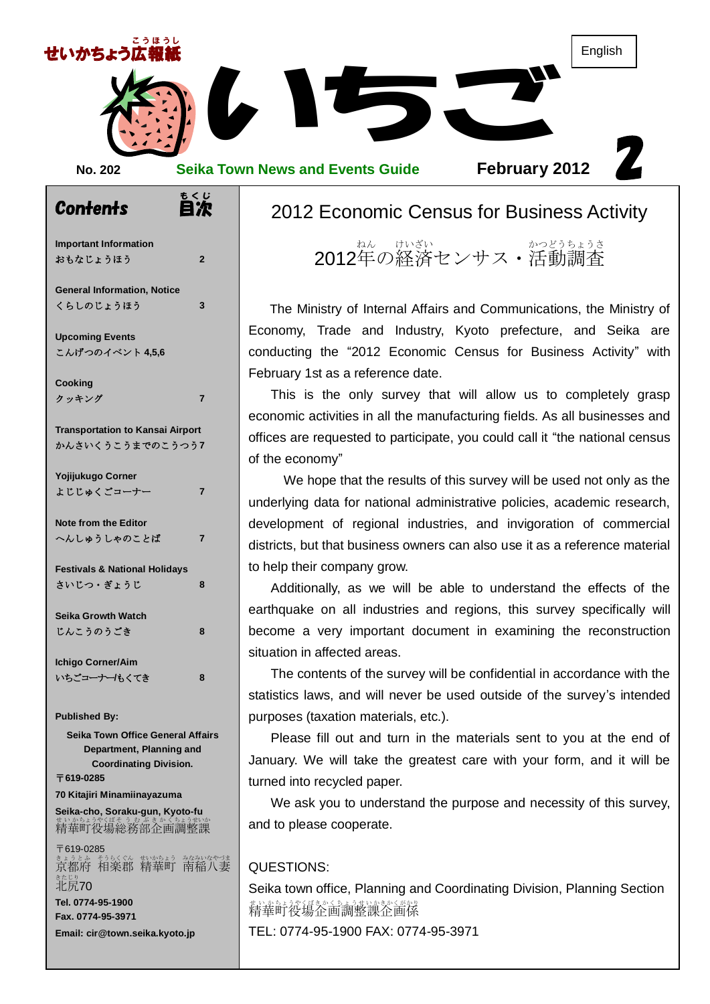

| <b>Important Information</b><br>おもなじょうほう                                                     | $\overline{2}$ |
|----------------------------------------------------------------------------------------------|----------------|
| <b>General Information, Notice</b><br>くらしのじょうほう                                              | 3              |
| <b>Upcoming Events</b><br>こんげつのイベント 4.5.6                                                    |                |
| <b>Cooking</b><br>クッキング                                                                      | 7              |
| <b>Transportation to Kansai Airport</b><br>かんさいくうこうまでのこうつう7                                  |                |
| Yojijukugo Corner<br>よじじゅくごコーナー                                                              | 7              |
| <b>Note from the Editor</b><br>へんしゅうしゃのことば                                                   | 7              |
| <b>Festivals &amp; National Holidays</b><br>さいじつ・ぎょうじ                                        | 8              |
| <b>Seika Growth Watch</b><br>じんこうのうごき                                                        | 8              |
| <b>Ichigo Corner/Aim</b><br>いちごコーナー/もくてき                                                     | 8              |
| <b>Published By:</b><br><b>Seika Town Office General Affairs</b><br>Department, Planning and |                |
| <b>Coordinating Division.</b><br>〒619-0285                                                   |                |

**70 Kitajiri Minamiinayazuma**

**Seika-cho, Soraku-gun, Kyoto-fu** まいかちょうやくばそう むぶき かくちょうせいか

〒619-0285 まょうとふ もうくぐん むかあょう なみいなやづま<br>京都府 相楽郡 精華町 南稲八妻 <sub>きたじり</sub><br>北尻**70 Tel. 0774-95-1900 Fax. 0774-95-3971 Email: cir@town.seika.kyoto.jp**

# 2012 Economic Census for Business Activity

2012年の経済センサス・活動調査

Arthropy of Lind and Communications, the Ministry of Internal Affairs and Communications, the Ministry of ielka are<br>ivity" with Economy, Trade and Industry, Kyoto prefecture, and Seika are conducting the "2012 Economic Census for Business Activity" with February 1st as a reference date.

This is the only survey that will allow us to completely grasp economic activities in all the manufacturing fields. As all businesses and offices are requested to participate, you could call it "the national census of the economy"

We hope that the results of this survey will be used not only as the underlying data for national administrative policies, academic research, development of regional industries, and invigoration of commercial districts, but that business owners can also use it as a reference material to help their company grow.

Additionally, as we will be able to understand the effects of the earthquake on all industries and regions, this survey specifically will become a very important document in examining the reconstruction situation in affected areas.

The contents of the survey will be confidential in accordance with the statistics laws, and will never be used outside of the survey's intended purposes (taxation materials, etc.).

Please fill out and turn in the materials sent to you at the end of January. We will take the greatest care with your form, and it will be turned into recycled paper.

We ask you to understand the purpose and necessity of this survey, and to please cooperate.

#### QUESTIONS:

Seika town office, Planning and Coordinating Division, Planning Section 精華莳蓯瘍沦衝調整譲釡圗係 TEL: 0774-95-1900 FAX: 0774-95-3971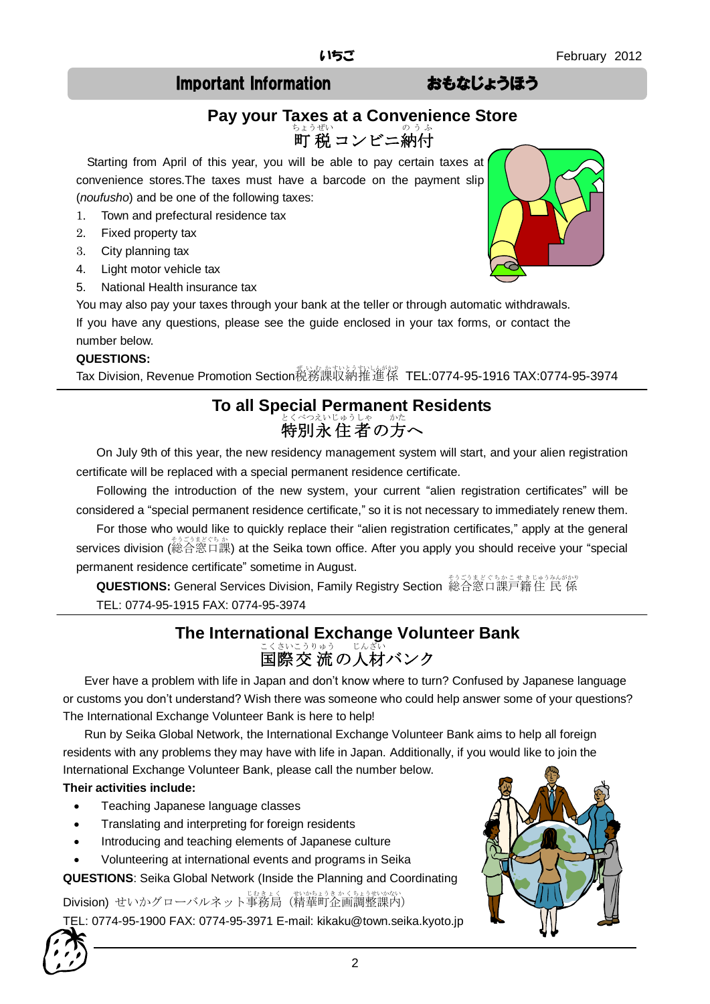# Important Information おもなじょうほう

# **Pay your Taxes at a Convenience Store** <u>ちょうぜい</u><br>町 税 コンビニ納付

Starting from April of this year, you will be able to pay certain taxes at convenience stores.The taxes must have a barcode on the payment slip (*noufusho*) and be one of the following taxes:

- 1. Town and prefectural residence tax
- 2. Fixed property tax
- 3. City planning tax
- 4. Light motor vehicle tax
- 5. National Health insurance tax

You may also pay your taxes through your bank at the teller or through automatic withdrawals. If you have any questions, please see the guide enclosed in your tax forms, or contact the number below.

#### **QUESTIONS:**

Tax Division, Revenue Promotion Section税務課収納推進係 TEL:0774-95-1916 TAX:0774-95-3974

# **To all Special Permanent Residents** とくべつえいじゅうしゃ ― かた<br>**特別永 住 者 の方へ**

On July 9th of this year, the new residency management system will start, and your alien registration certificate will be replaced with a special permanent residence certificate.

Following the introduction of the new system, your current "alien registration certificates" will be considered a "special permanent residence certificate," so it is not necessary to immediately renew them.

For those who would like to quickly replace their "alien registration certificates," apply at the general services division (総合窓口課) at the Seika town office. After you apply you should receive your "special permanent residence certificate" sometime in August.

**QUESTIONS:** General Services Division, Family Registry Section 総合窓口課戸籍住 民 係 TEL: 0774-95-1915 FAX: 0774-95-3974

# **The International Exchange Volunteer Bank** <u>こくさいこうりゅう</u> じんざい<br>国際交 流の人材バンク

Ever have a problem with life in Japan and don't know where to turn? Confused by Japanese language or customs you don't understand? Wish there was someone who could help answer some of your questions? The International Exchange Volunteer Bank is here to help!

Run by Seika Global Network, the International Exchange Volunteer Bank aims to help all foreign residents with any problems they may have with life in Japan. Additionally, if you would like to join the International Exchange Volunteer Bank, please call the number below.

#### **Their activities include:**

- Teaching Japanese language classes
- Translating and interpreting for foreign residents
- Introducing and teaching elements of Japanese culture
- Volunteering at international events and programs in Seika

**QUESTIONS**: Seika Global Network (Inside the Planning and Coordinating

Division) せいかグローバルネット事務局(精華町企画調整課内)

TEL: 0774-95-1900 FAX: 0774-95-3971 E-mail: kikaku@town.seika.kyoto.jp





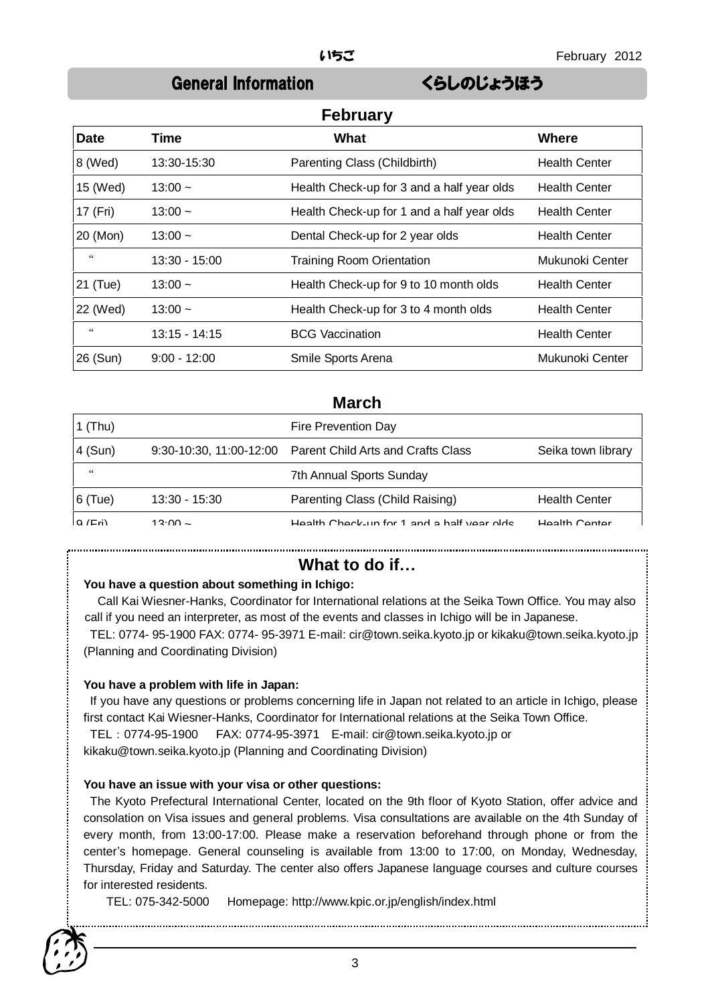# General Information くらしのじょうほう

| <b>February</b> |                 |                                            |                      |
|-----------------|-----------------|--------------------------------------------|----------------------|
| <b>Date</b>     | Time            | What                                       | Where                |
| 8 (Wed)         | 13:30-15:30     | Parenting Class (Childbirth)               | <b>Health Center</b> |
| 15 (Wed)        | $13:00 -$       | Health Check-up for 3 and a half year olds | <b>Health Center</b> |
| 17 (Fri)        | $13:00 -$       | Health Check-up for 1 and a half year olds | <b>Health Center</b> |
| 20 (Mon)        | $13:00 -$       | Dental Check-up for 2 year olds            | <b>Health Center</b> |
| $\zeta\zeta$    | 13:30 - 15:00   | <b>Training Room Orientation</b>           | Mukunoki Center      |
| 21 (Tue)        | $13:00 -$       | Health Check-up for 9 to 10 month olds     | <b>Health Center</b> |
| 22 (Wed)        | $13:00 -$       | Health Check-up for 3 to 4 month olds      | <b>Health Center</b> |
| $\epsilon$      | $13:15 - 14:15$ | <b>BCG Vaccination</b>                     | <b>Health Center</b> |
| 26 (Sun)        | $9:00 - 12:00$  | Smile Sports Arena                         | Mukunoki Center      |

### **March**

| $1$ (Thu)  |                 | Fire Prevention Day                                        |                      |
|------------|-----------------|------------------------------------------------------------|----------------------|
| 4 (Sun)    |                 | 9:30-10:30, 11:00-12:00 Parent Child Arts and Crafts Class | Seika town library   |
| $\epsilon$ |                 | 7th Annual Sports Sunday                                   |                      |
| $ 6$ (Tue) | $13:30 - 15:30$ | Parenting Class (Child Raising)                            | <b>Health Center</b> |
| $Q$ (Fri)  | 12.00           | Hoolth Chook up for 1 and a holf voor older                | Hoolth Contor        |

### **What to do if…**

#### **You have a question about something in Ichigo:**

Call Kai Wiesner-Hanks, Coordinator for International relations at the Seika Town Office. You may also call if you need an interpreter, as most of the events and classes in Ichigo will be in Japanese.

TEL: 0774- 95-1900 FAX: 0774- 95-3971 E-mail: cir@town.seika.kyoto.jp or kikaku@town.seika.kyoto.jp (Planning and Coordinating Division)

#### **You have a problem with life in Japan:**

If you have any questions or problems concerning life in Japan not related to an article in Ichigo, please first contact Kai Wiesner-Hanks, Coordinator for International relations at the Seika Town Office. TEL:0774-95-1900 FAX: 0774-95-3971 E-mail: cir@town.seika.kyoto.jp or

kikaku@town.seika.kyoto.jp (Planning and Coordinating Division)

#### **You have an issue with your visa or other questions:**

The Kyoto Prefectural International Center, located on the 9th floor of Kyoto Station, offer advice and consolation on Visa issues and general problems. Visa consultations are available on the 4th Sunday of every month, from 13:00-17:00. Please make a reservation beforehand through phone or from the center's homepage. General counseling is available from 13:00 to 17:00, on Monday, Wednesday, Thursday, Friday and Saturday. The center also offers Japanese language courses and culture courses for interested residents.

TEL: 075-342-5000 Homepage: http://www.kpic.or.jp/english/index.html

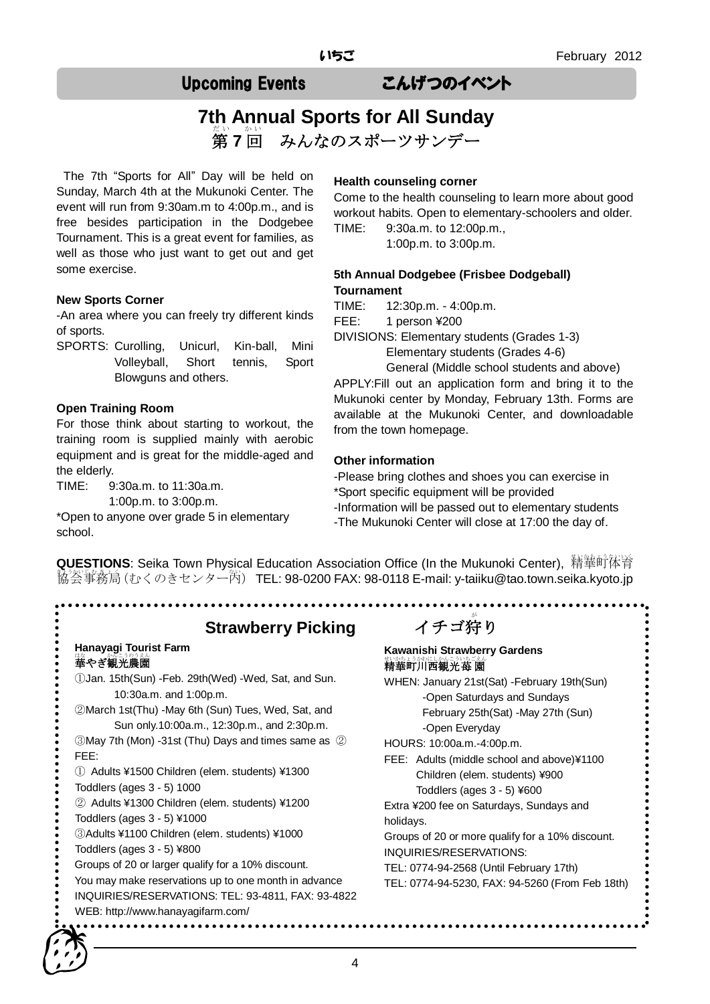# Upcoming Events こんげつのイベント

#### **7th Annual Sports for All Sunday** 第7回 だい かい みんなのスポーツサンデー

The 7th "Sports for All" Day will be held on Sunday, March 4th at the Mukunoki Center. The event will run from 9:30am.m to 4:00p.m., and is free besides participation in the Dodgebee Tournament. This is a great event for families, as well as those who just want to get out and get some exercise.

#### **New Sports Corner**

-An area where you can freely try different kinds of sports.

SPORTS: Curolling, Unicurl, Kin-ball, Mini Volleyball, Short tennis, Sport Blowguns and others.

#### **Open Training Room**

For those think about starting to workout, the training room is supplied mainly with aerobic equipment and is great for the middle-aged and the elderly.

TIME: 9:30a.m. to 11:30a.m.

1:00p.m. to 3:00p.m.

\*Open to anyone over grade 5 in elementary school.

#### **Health counseling corner**

Come to the health counseling to learn more about good workout habits. Open to elementary-schoolers and older. TIME: 9:30a.m. to 12:00p.m.,

1:00p.m. to 3:00p.m.

#### **5th Annual Dodgebee (Frisbee Dodgeball) Tournament**

TIME: 12:30p.m. - 4:00p.m.

FEE: 1 person ¥200

DIVISIONS: Elementary students (Grades 1-3)

Elementary students (Grades 4-6)

General (Middle school students and above) APPLY:Fill out an application form and bring it to the Mukunoki center by Monday, February 13th. Forms are available at the Mukunoki Center, and downloadable from the town homepage.

#### **Other information**

-Please bring clothes and shoes you can exercise in \*Sport specific equipment will be provided -Information will be passed out to elementary students -The Mukunoki Center will close at 17:00 the day of.

**QUESTIONS**: Seika Town Physical Education Association Office (In the Mukunoki Center), 精華町体育 .<br>協会事務局 (むくのきセンター芮) TEL: 98-0200 FAX: 98-0118 E-mail: y-taiiku@tao.town.seika.kyoto.jp

**Strawberry Picking** 

#### **Hanayagi Tourist Farm**  …。<br>**華やぎ観光農園**

①Jan. 15th(Sun) -Feb. 29th(Wed) -Wed, Sat, and Sun. 10:30a.m. and 1:00p.m.

②March 1st(Thu) -May 6th (Sun) Tues, Wed, Sat, and Sun only.10:00a.m., 12:30p.m., and 2:30p.m. ③May 7th (Mon) -31st (Thu) Days and times same as ②

FEE:

① Adults ¥1500 Children (elem. students) ¥1300

Toddlers (ages 3 - 5) 1000

② Adults ¥1300 Children (elem. students) ¥1200

- Toddlers (ages 3 5) ¥1000
- ③Adults ¥1100 Children (elem. students) ¥1000
- Toddlers (ages 3 5) ¥800
- Groups of 20 or larger qualify for a 10% discount.

You may make reservations up to one month in advance

- INQUIRIES/RESERVATIONS: TEL: 93-4811, FAX: 93-4822
- WEB: http://www.hanayagifarm.com/

# イチゴ狩り

#### **Kawanishi Strawberry Gardens**  \*いかもょうかやにしかんこういちごえん<br>**精華町川西観光苺 園**

WHEN: January 21st(Sat) -February 19th(Sun) -Open Saturdays and Sundays February 25th(Sat) -May 27th (Sun) -Open Everyday

HOURS: 10:00a.m.-4:00p.m.

**...............** 

FEE: Adults (middle school and above)¥1100 Children (elem. students) ¥900 Toddlers (ages 3 - 5) ¥600

Extra ¥200 fee on Saturdays, Sundays and holidays.

Groups of 20 or more qualify for a 10% discount. INQUIRIES/RESERVATIONS:

TEL: 0774-94-2568 (Until February 17th)

TEL: 0774-94-5230, FAX: 94-5260 (From Feb 18th)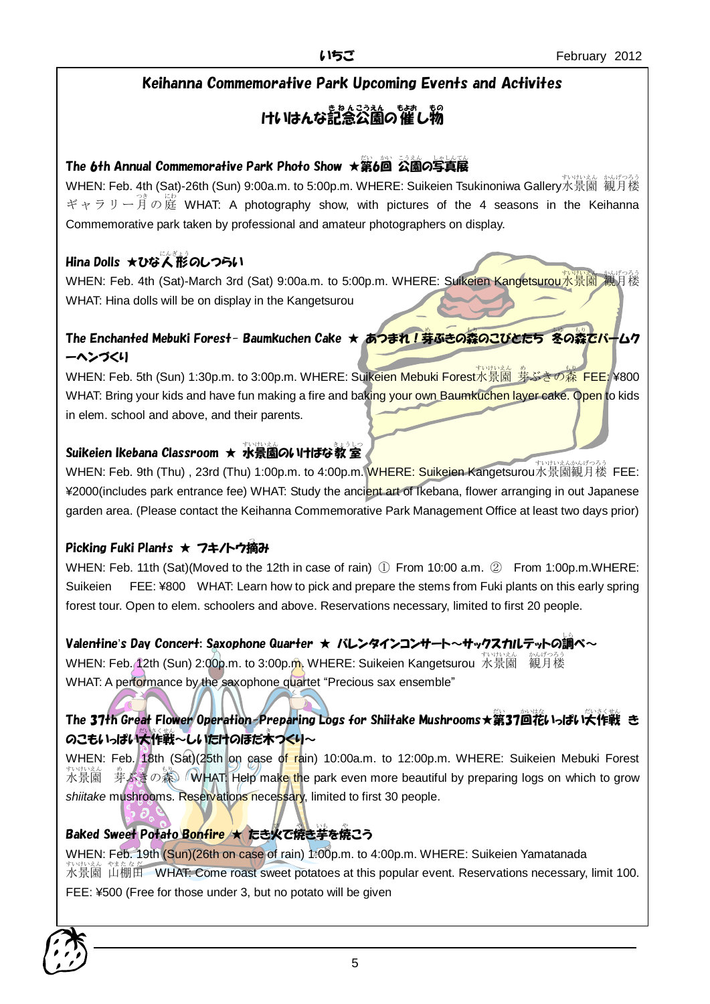### Keihanna Commemorative Park Upcoming Events and Activites

# けいはんな記念公園の催し物

# The 6th Annual Commemorative Park Photo Show ★第6回 公園の写真展

wHEN: Feb. 4th (Sat)-26th (Sun) 9:00a.m. to 5:00p.m. WHERE: Suikeien Tsukinoniwa Gallery水景園 観月楼 ギャラリー<sup>3す</sup>の庭 WHAT: A photography show, with pictures of the 4 seasons in the Keihanna Commemorative park taken by professional and amateur photographers on display.

# Hina Dolls ★ひな人形のしつらい

WHEN: Feb. 4th (Sat)-March 3rd (Sat) 9:00a.m. to 5:00p.m. WHERE: Suikeien Kangetsurou水景園 観月楼 WHAT: Hina dolls will be on display in the Kangetsurou

# The Enchanted Mebuki Forest- Baumkuchen Cake ★ あつまれ!芽ぶきの森のこびとたち 冬の森でバームク ーヘンづくり

WHEN: Feb. 5th (Sun) 1:30p.m. to 3:00p.m. WHERE: Suikeien Mebuki Forest水景園 券ぶきの蒸 FEE: ¥800. WHAT: Bring your kids and have fun making a fire and baking your own Baumkuchen layer cake. Open to kids in elem. school and above, and their parents.

# Suikeien Ikebana Classroom ★ 水景園のいけばな教室

WHEN: Feb. 9th (Thu) , 23rd (Thu) 1:00p.m. to 4:00p.m. WHERE: Suikeien Kangetsurou水景園観月楼 FEE: ¥2000(includes park entrance fee) WHAT: Study the ancient art of Ikebana, flower arranging in out Japanese garden area. (Please contact the Keihanna Commemorative Park Management Office at least two days prior)

# Picking Fuki Plants ★ フキ/トウ摘み

WHEN: Feb. 11th (Sat)(Moved to the 12th in case of rain) ① From 10:00 a.m. ② From 1:00p.m.WHERE: Suikeien FEE: ¥800 WHAT: Learn how to pick and prepare the stems from Fuki plants on this early spring forest tour. Open to elem. schoolers and above. Reservations necessary, limited to first 20 people.

# Valentine's Day Concert: Saxophone Quarter ★ バレンタインコンサート~サックスカルテットの調べ~

whEN: Feb. 12th (Sun) 2:00p.m. to 3:00p.m. WHERE: Suikeien Kangetsurou 水景園 観月楼 WHAT: A performance by the saxophone quartet "Precious sax ensemble"

# The 37th Great Flower Operation-Preparing Logs for Shiitake Mushrooms★第37回花いっぱい大作戦 き のこもいっぱい大作戦~しいたけのほだ木つくり~

WHEN: Feb. 18th (Sat)(25th on case of rain) 10:00a.m. to 12:00p.m. WHERE: Suikeien Mebuki Forest 水景園 すいけいえん 芽 め ぶきの森 もり WHAT: Help make the park even more beautiful by preparing logs on which to grow shiitake mushrooms. Reservations necessary, limited to first 30 people.

# **Baked Sweet Potato Bonfire ★ たき火で焼き芋を焼こう**

WHEN: Feb. 19th (Sun)(26th on case of rain) 1:00p.m. to 4:00p.m. WHERE: Suikeien Yamatanada  $\ddot{\pi}$ 大景園 山棚田 WHAT: Come roast sweet potatoes at this popular event. Reservations necessary, limit 100. FEE: ¥500 (Free for those under 3, but no potato will be given

 $\mathbf{r}$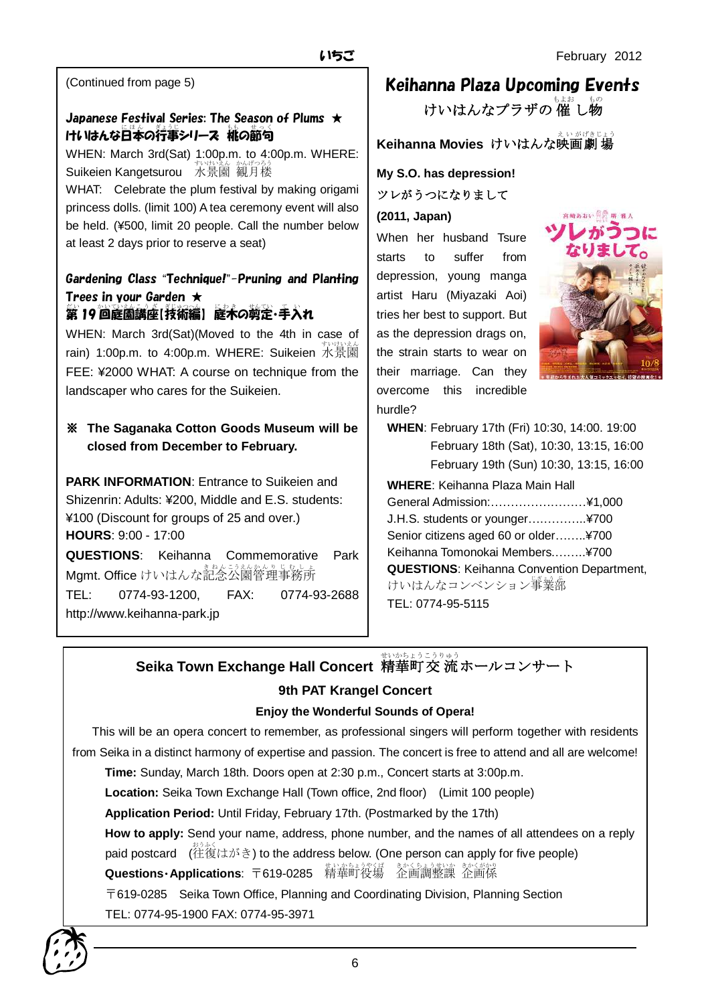(Continued from page 5)

### Japanese Festival Series: The Season of Plums  $\star$ けいはんな日本の行事シリース 桃の節句

WHEN: March 3rd(Sat) 1:00p.m. to 4:00p.m. WHERE: Suikeien Kangetsurou 水景園 観月楼

WHAT: Celebrate the plum festival by making origami princess dolls. (limit 100) A tea ceremony event will also be held. (¥500, limit 20 people. Call the number below at least 2 days prior to reserve a seat)

#### Gardening Class "Technique!"-Pruning and Planting Trees in your Garden ★ 。<br>第 19 回庭園講座[技術編] 庭木の剪定・手入れ

WHEN: March 3rd(Sat)(Moved to the 4th in case of rain) 1:00p.m. to 4:00p.m. WHERE: Suikeien 水景薗 FEE: ¥2000 WHAT: A course on technique from the landscaper who cares for the Suikeien.

### ※ **The Saganaka Cotton Goods Museum will be closed from December to February.**

**PARK INFORMATION:** Entrance to Suikeien and Shizenrin: Adults: ¥200, Middle and E.S. students: ¥100 (Discount for groups of 25 and over.) **HOURS**: 9:00 - 17:00 **QUESTIONS**: Keihanna Commemorative Park Mgmt. Office けいはんな記念公園管理事務所 TEL: 0774-93-1200, FAX: 0774-93-2688 http://www.keihanna-park.jp

# Keihanna Plaza Upcoming Events

けいはんなプラザの 催 し物

**Keihanna Movies けいはんな映画劇場** 

**My S.O. has depression!** ツレがうつになりまして

**(2011, Japan)**

When her husband Tsure starts to suffer from depression, young manga artist Haru (Miyazaki Aoi) tries her best to support. But as the depression drags on, the strain starts to wear on their marriage. Can they overcome this incredible hurdle?



**WHEN**: February 17th (Fri) 10:30, 14:00. 19:00 February 18th (Sat), 10:30, 13:15, 16:00 February 19th (Sun) 10:30, 13:15, 16:00

**WHERE**: Keihanna Plaza Main Hall General Admission:……………………¥1,000 J.H.S. students or younger….………..¥700 Senior citizens aged 60 or older……..¥700 Keihanna Tomonokai Members.……..¥700 **QUESTIONS**: Keihanna Convention Department, けいはんなコンベンション<sup>事業部</sup> TEL: 0774-95-5115

**Seika Town Exchange Hall Concert 精華町交流ホールコンサート** 

### **9th PAT Krangel Concert**

#### **Enjoy the Wonderful Sounds of Opera!**

This will be an opera concert to remember, as professional singers will perform together with residents from Seika in a distinct harmony of expertise and passion. The concert is free to attend and all are welcome!

**Time:** Sunday, March 18th. Doors open at 2:30 p.m., Concert starts at 3:00p.m.

**Location:** Seika Town Exchange Hall (Town office, 2nd floor) (Limit 100 people)

**Application Period:** Until Friday, February 17th. (Postmarked by the 17th)

**How to apply:** Send your name, address, phone number, and the names of all attendees on a reply paid postcard (往復はがき) to the address below. (One person can apply for five people) **Questions·Applications**: 〒619-0285 精華町役場 企画調整課 企画係

〒619-0285 Seika Town Office, Planning and Coordinating Division, Planning Section

TEL: 0774-95-1900 FAX: 0774-95-3971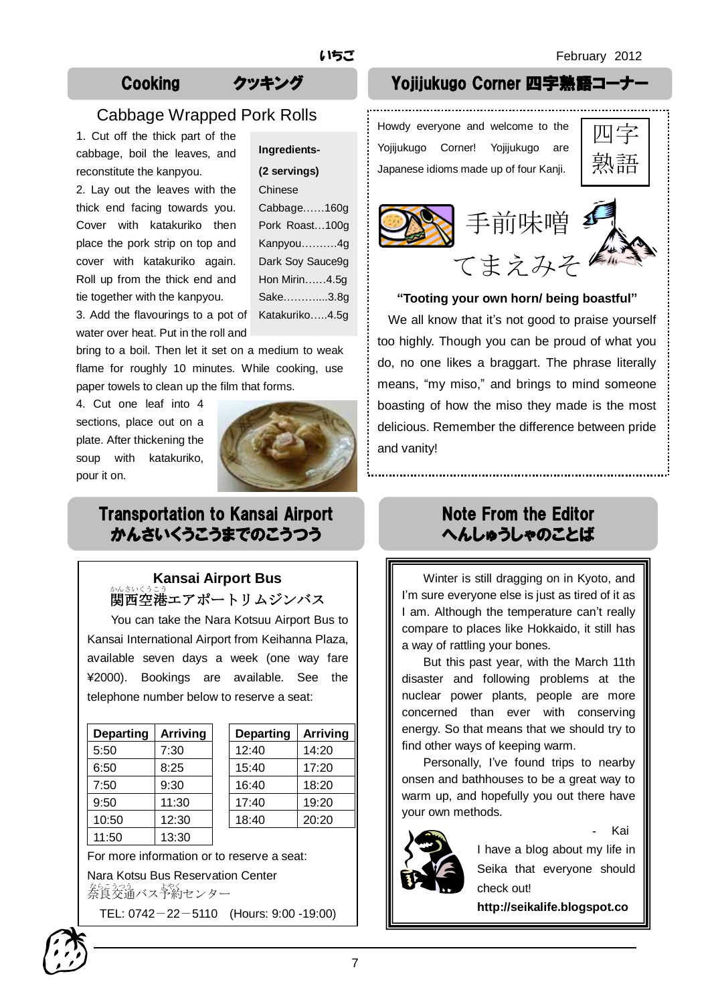# Cabbage Wrapped Pork Rolls

1. Cut off the thick part of the cabbage, boil the leaves, and reconstitute the kanpyou.

2. Lay out the leaves with the thick end facing towards you. Cover with katakuriko then place the pork strip on top and cover with katakuriko again. Roll up from the thick end and tie together with the kanpyou.

| Ingredients-     |  |  |
|------------------|--|--|
| (2 servings)     |  |  |
| Chinese          |  |  |
| Cabbage160g      |  |  |
| Pork Roast100g   |  |  |
| Kanpyou4g        |  |  |
| Dark Soy Sauce9g |  |  |
| Hon Mirin4.5g    |  |  |
| Sake3.8g         |  |  |
| Katakuriko4.5g   |  |  |

3. Add the flavourings to a pot of water over heat. Put in the roll and

bring to a boil. Then let it set on a medium to weak flame for roughly 10 minutes. While cooking, use paper towels to clean up the film that forms.

4. Cut one leaf into 4 sections, place out on a plate. After thickening the soup with katakuriko, pour it on.



# Transportation to Kansai Airport かんさいくうこうまでのこうつう

# **Kansai Airport Bus** ゕ<u>ょいくこう</u><br>関西空港エアポートリムジンバス

You can take the Nara Kotsuu Airport Bus to Kansai International Airport from Keihanna Plaza, available seven days a week (one way fare ¥2000). Bookings are available. See the telephone number below to reserve a seat:

| <b>Departing</b> | <b>Arriving</b> | <b>Departing</b> | <b>Arriving</b> |
|------------------|-----------------|------------------|-----------------|
| 5:50             | 7:30            | 12:40            | 14:20           |
| 6:50             | 8:25            | 15:40            | 17:20           |
| 7:50             | 9:30            | 16:40            | 18:20           |
| 9:50             | 11:30           | 17:40            | 19:20           |
| 10:50            | 12:30           | 18:40            | 20:20           |
| 11:50            | 13:30           |                  |                 |

For more information or to reserve a seat:

Nara Kotsu Bus Reservation Center をらえる。<br>奈良交通バス予約センター

TEL: 0742-22-5110 (Hours: 9:00 -19:00)

# Cooking クッキング Yojijukugo Corner 四字熟語コー

Howdy everyone and welcome to the Yojijukugo Corner! Yojijukugo are Japanese idioms made up of four Kanji.





#### **"Tooting your own horn/ being boastful"**

We all know that it's not good to praise yourself too highly. Though you can be proud of what you do, no one likes a braggart. The phrase literally means, "my miso," and brings to mind someone boasting of how the miso they made is the most delicious. Remember the difference between pride and vanity!

# Note From the Editor へんしゅうしゃのことば

Winter is still dragging on in Kyoto, and I'm sure everyone else is just as tired of it as I am. Although the temperature can't really compare to places like Hokkaido, it still has a way of rattling your bones.

But this past year, with the March 11th disaster and following problems at the nuclear power plants, people are more concerned than ever with conserving energy. So that means that we should try to find other ways of keeping warm.

Personally, I've found trips to nearby onsen and bathhouses to be a great way to warm up, and hopefully you out there have your own methods.



**m**

Kai

I have a blog about my life in Seika that everyone should check out!

**http://seikalife.blogspot.co**